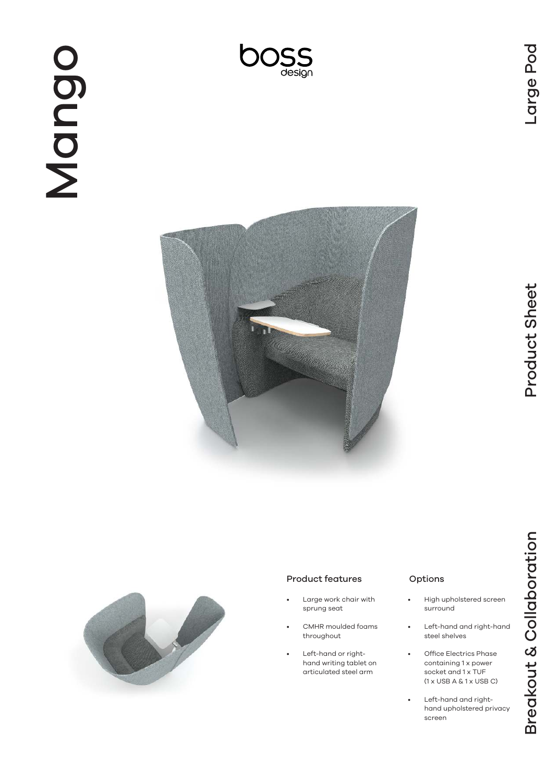





#### Product features

- Large work chair with sprung seat
- CMHR moulded foams throughout
- Left-hand or righthand writing tablet on articulated steel arm

### Options

- High upholstered screen surround
- Left-hand and right-hand steel shelves
- Office Electrics Phase containing 1 x power socket and 1 x TUF (1 x USB A & 1 x USB C)
- Left-hand and righthand upholstered privacy screen

Breakout & Collaboration